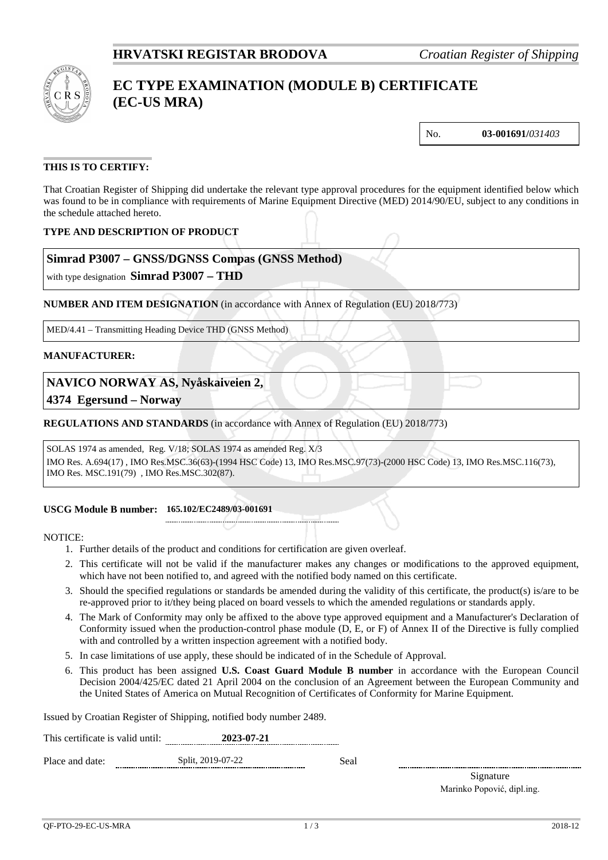

# **EC TYPE EXAMINATION (MODULE B) CERTIFICATE (EC-US MRA)**

No. **03-001691/***031403*

# **THIS IS TO CERTIFY:**

That Croatian Register of Shipping did undertake the relevant type approval procedures for the equipment identified below which was found to be in compliance with requirements of Marine Equipment Directive (MED) 2014/90/EU, subject to any conditions in the schedule attached hereto.

# **TYPE AND DESCRIPTION OF PRODUCT**

# **Simrad P3007 – GNSS/DGNSS Compas (GNSS Method)**

with type designation **Simrad P3007 – THD** 

**NUMBER AND ITEM DESIGNATION** (in accordance with Annex of Regulation (EU) 2018/773)

MED/4.41 – Transmitting Heading Device THD (GNSS Method)

## **MANUFACTURER:**

**NAVICO NORWAY AS, Nyåskaiveien 2,** 

**4374 Egersund – Norway**

**REGULATIONS AND STANDARDS** (in accordance with Annex of Regulation (EU) 2018/773)

#### SOLAS 1974 as amended, Reg. V/18; SOLAS 1974 as amended Reg. X/3

IMO Res. A.694(17) , IMO Res.MSC.36(63)-(1994 HSC Code) 13, IMO Res.MSC.97(73)-(2000 HSC Code) 13, IMO Res.MSC.116(73), IMO Res. MSC.191(79) , IMO Res.MSC.302(87).

#### **USCG Module B number: 165.102/EC2489/03-001691**

NOTICE:

1. Further details of the product and conditions for certification are given overleaf.

- 2. This certificate will not be valid if the manufacturer makes any changes or modifications to the approved equipment, which have not been notified to, and agreed with the notified body named on this certificate.
- 3. Should the specified regulations or standards be amended during the validity of this certificate, the product(s) is/are to be re-approved prior to it/they being placed on board vessels to which the amended regulations or standards apply.
- 4. The Mark of Conformity may only be affixed to the above type approved equipment and a Manufacturer's Declaration of Conformity issued when the production-control phase module (D, E, or F) of Annex II of the Directive is fully complied with and controlled by a written inspection agreement with a notified body.
- 5. In case limitations of use apply, these should be indicated of in the Schedule of Approval.
- 6. This product has been assigned **U.S. Coast Guard Module B number** in accordance with the European Council Decision 2004/425/EC dated 21 April 2004 on the conclusion of an Agreement between the European Community and the United States of America on Mutual Recognition of Certificates of Conformity for Marine Equipment.

Issued by Croatian Register of Shipping, notified body number 2489.

| This certificate is valid until: | 2023-07-21 |
|----------------------------------|------------|
|                                  |            |

Place and date: Split, 2019-07-22 Seal

Signature Marinko Popović, dipl.ing.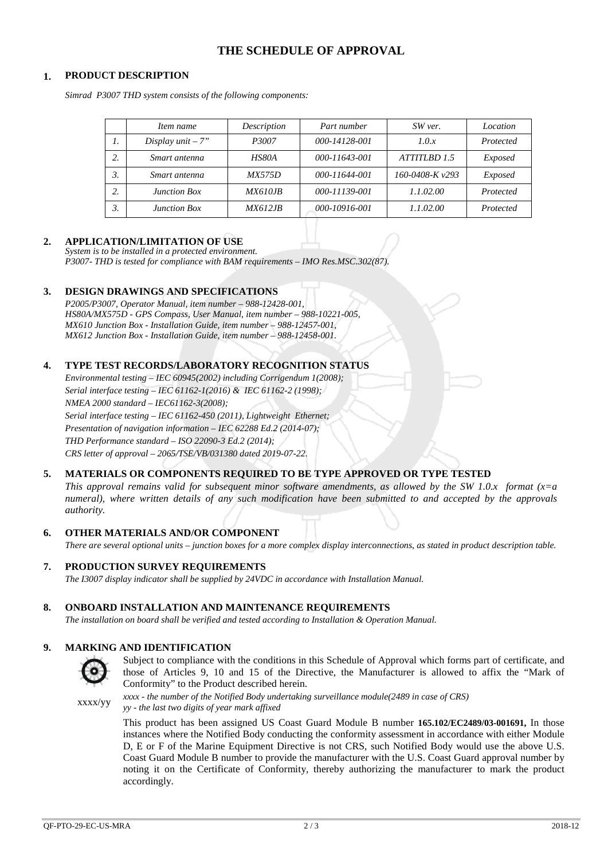# **THE SCHEDULE OF APPROVAL**

## **1. PRODUCT DESCRIPTION**

*Simrad P3007 THD system consists of the following components:*

|    | Item name           | Description    | Part number   | SW ver.           | Location  |
|----|---------------------|----------------|---------------|-------------------|-----------|
| 1. | Display $unit - 7"$ | <i>P3007</i>   | 000-14128-001 | 1.0.x             | Protected |
|    | Smart antenna       | HS80A          | 000-11643-001 | ATTITLBD 1.5      | Exposed   |
|    | Smart antenna       | <i>MX575D</i>  | 000-11644-001 | 160-0408-K $v293$ | Exposed   |
|    | <b>Junction Box</b> | <i>MX610JB</i> | 000-11139-001 | 1.1.02.00         | Protected |
|    | <b>Junction Box</b> | <i>MX612JB</i> | 000-10916-001 | 1.1.02.00         | Protected |

## **2. APPLICATION/LIMITATION OF USE**

*System is to be installed in a protected environment. P3007- THD is tested for compliance with BAM requirements – IMO Res.MSC.302(87).*

#### **3. DESIGN DRAWINGS AND SPECIFICATIONS**

*P2005/P3007, Operator Manual, item number – 988-12428-001, HS80A/MX575D - GPS Compass, User Manual, item number – 988-10221-005, MX610 Junction Box - Installation Guide, item number – 988-12457-001, MX612 Junction Box - Installation Guide, item number – 988-12458-001.*

#### **4. TYPE TEST RECORDS/LABORATORY RECOGNITION STATUS**

*Environmental testing – IEC 60945(2002) including Corrigendum 1(2008); Serial interface testing – IEC 61162-1(2016) & IEC 61162-2 (1998); NMEA 2000 standard – IEC61162-3(2008); Serial interface testing – IEC 61162-450 (2011), Lightweight Ethernet; Presentation of navigation information – IEC 62288 Ed.2 (2014-07); THD Performance standard – ISO 22090-3 Ed.2 (2014); CRS letter of approval – 2065/TSE/VB/031380 dated 2019-07-22.*

## **5. MATERIALS OR COMPONENTS REQUIRED TO BE TYPE APPROVED OR TYPE TESTED**

*This approval remains valid for subsequent minor software amendments, as allowed by the SW 1.0.x format (x=a numeral), where written details of any such modification have been submitted to and accepted by the approvals authority.*

## **6. OTHER MATERIALS AND/OR COMPONENT**

*There are several optional units – junction boxes for a more complex display interconnections, as stated in product description table.*

## **7. PRODUCTION SURVEY REQUIREMENTS**

*The I3007 display indicator shall be supplied by 24VDC in accordance with Installation Manual.*

#### **8. ONBOARD INSTALLATION AND MAINTENANCE REQUIREMENTS**

*The installation on board shall be verified and tested according to Installation & Operation Manual.*

#### **9. MARKING AND IDENTIFICATION**



Subject to compliance with the conditions in this Schedule of Approval which forms part of certificate, and those of Articles 9, 10 and 15 of the Directive, the Manufacturer is allowed to affix the "Mark of Conformity" to the Product described herein.

xxxx/yy *xxxx - the number of the Notified Body undertaking surveillance module(2489 in case of CRS)*

*yy - the last two digits of year mark affixed*

This product has been assigned US Coast Guard Module B number **165.102/EC2489/03-001691,** In those instances where the Notified Body conducting the conformity assessment in accordance with either Module D, E or F of the Marine Equipment Directive is not CRS, such Notified Body would use the above U.S. Coast Guard Module B number to provide the manufacturer with the U.S. Coast Guard approval number by noting it on the Certificate of Conformity, thereby authorizing the manufacturer to mark the product accordingly.